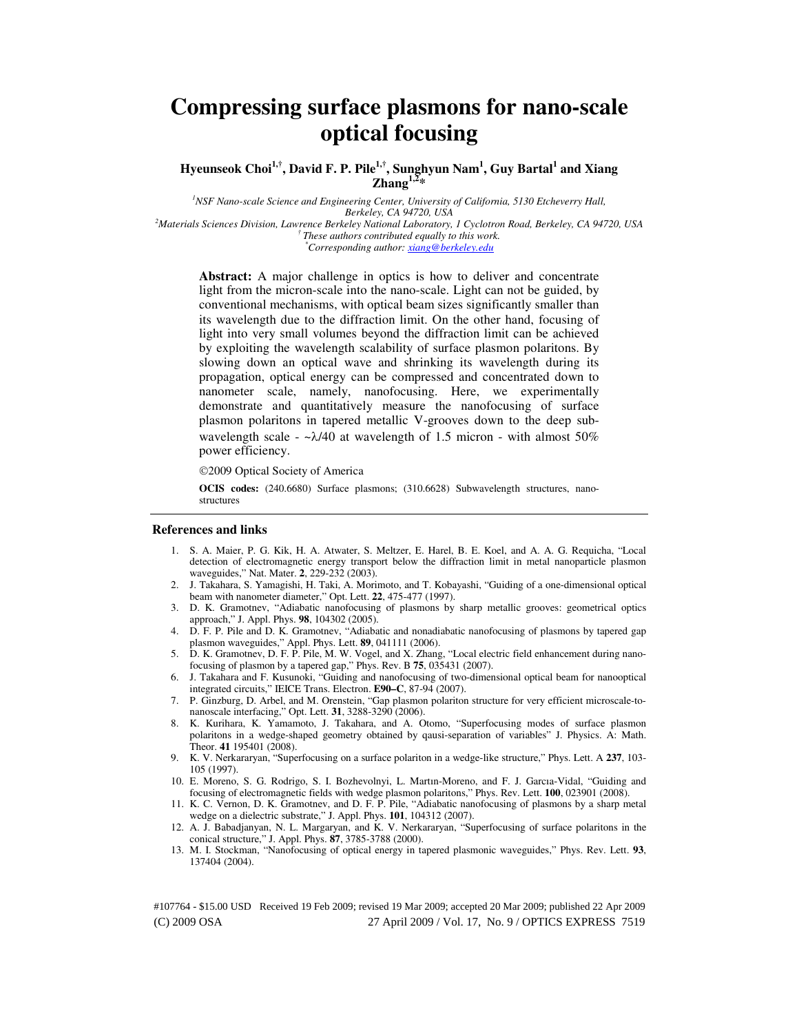# **Compressing surface plasmons for nano-scale optical focusing**

**Hyeunseok Choi1,†, David F. P. Pile1,†, Sunghyun Nam<sup>1</sup> , Guy Bartal<sup>1</sup> and Xiang Zhang1,2\***

*<sup>1</sup>NSF Nano-scale Science and Engineering Center, University of California, 5130 Etcheverry Hall, Berkeley, CA 94720, USA <sup>2</sup>Materials Sciences Division, Lawrence Berkeley National Laboratory, 1 Cyclotron Road, Berkeley, CA 94720, USA † These authors contributed equally to this work.* 

*\*Corresponding author: xiang@berkeley.edu* 

**Abstract:** A major challenge in optics is how to deliver and concentrate light from the micron-scale into the nano-scale. Light can not be guided, by conventional mechanisms, with optical beam sizes significantly smaller than its wavelength due to the diffraction limit. On the other hand, focusing of light into very small volumes beyond the diffraction limit can be achieved by exploiting the wavelength scalability of surface plasmon polaritons. By slowing down an optical wave and shrinking its wavelength during its propagation, optical energy can be compressed and concentrated down to nanometer scale, namely, nanofocusing. Here, we experimentally demonstrate and quantitatively measure the nanofocusing of surface plasmon polaritons in tapered metallic V-grooves down to the deep subwavelength scale -  $-\lambda/40$  at wavelength of 1.5 micron - with almost 50% power efficiency.

2009 Optical Society of America

**OCIS codes:** (240.6680) Surface plasmons; (310.6628) Subwavelength structures, nanostructures

#### **References and links**

- 1. S. A. Maier, P. G. Kik, H. A. Atwater, S. Meltzer, E. Harel, B. E. Koel, and A. A. G. Requicha, "Local detection of electromagnetic energy transport below the diffraction limit in metal nanoparticle plasmon waveguides," Nat. Mater. **2**, 229-232 (2003).
- 2. J. Takahara, S. Yamagishi, H. Taki, A. Morimoto, and T. Kobayashi, "Guiding of a one-dimensional optical beam with nanometer diameter," Opt. Lett. **22**, 475-477 (1997).
- 3. D. K. Gramotnev, "Adiabatic nanofocusing of plasmons by sharp metallic grooves: geometrical optics approach," J. Appl. Phys. **98**, 104302 (2005).
- 4. D. F. P. Pile and D. K. Gramotnev, "Adiabatic and nonadiabatic nanofocusing of plasmons by tapered gap plasmon waveguides," Appl. Phys. Lett. **89**, 041111 (2006).
- 5. D. K. Gramotnev, D. F. P. Pile, M. W. Vogel, and X. Zhang, "Local electric field enhancement during nanofocusing of plasmon by a tapered gap," Phys. Rev. B **75**, 035431 (2007).
- 6. J. Takahara and F. Kusunoki, "Guiding and nanofocusing of two-dimensional optical beam for nanooptical integrated circuits," IEICE Trans. Electron. **E90–C**, 87-94 (2007).
- 7. P. Ginzburg, D. Arbel, and M. Orenstein, "Gap plasmon polariton structure for very efficient microscale-tonanoscale interfacing," Opt. Lett. **31**, 3288-3290 (2006).
- 8. K. Kurihara, K. Yamamoto, J. Takahara, and A. Otomo, "Superfocusing modes of surface plasmon polaritons in a wedge-shaped geometry obtained by qausi-separation of variables" J. Physics. A: Math. Theor. **41** 195401 (2008).
- 9. K. V. Nerkararyan, "Superfocusing on a surface polariton in a wedge-like structure," Phys. Lett. A **237**, 103- 105 (1997).
- 10. E. Moreno, S. G. Rodrigo, S. I. Bozhevolnyi, L. Martın-Moreno, and F. J. Garcıa-Vidal, "Guiding and focusing of electromagnetic fields with wedge plasmon polaritons," Phys. Rev. Lett. **100**, 023901 (2008).
- 11. K. C. Vernon, D. K. Gramotnev, and D. F. P. Pile, "Adiabatic nanofocusing of plasmons by a sharp metal wedge on a dielectric substrate," J. Appl. Phys. **101**, 104312 (2007).
- 12. A. J. Babadjanyan, N. L. Margaryan, and K. V. Nerkararyan, "Superfocusing of surface polaritons in the conical structure," J. Appl. Phys. **87**, 3785-3788 (2000).
- 13. M. I. Stockman, "Nanofocusing of optical energy in tapered plasmonic waveguides," Phys. Rev. Lett. **93**, 137404 (2004).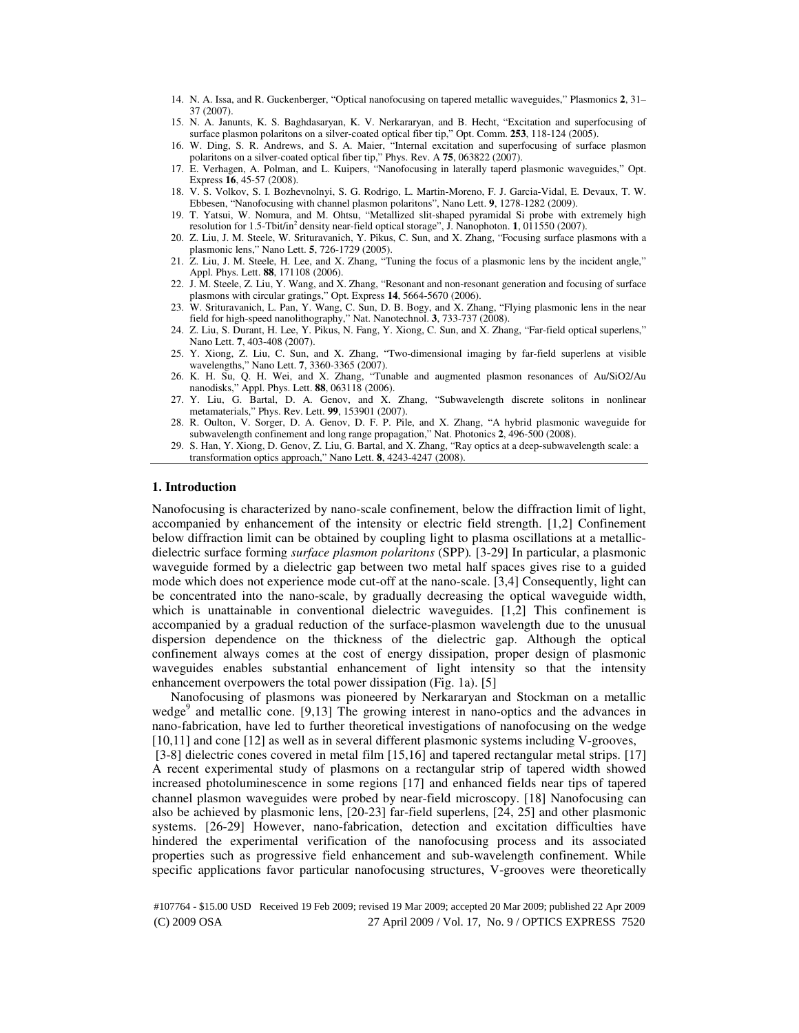- 14. N. A. Issa, and R. Guckenberger, "Optical nanofocusing on tapered metallic waveguides," Plasmonics **2**, 31– 37 (2007).
- 15. N. A. Janunts, K. S. Baghdasaryan, K. V. Nerkararyan, and B. Hecht, "Excitation and superfocusing of surface plasmon polaritons on a silver-coated optical fiber tip," Opt. Comm. **253**, 118-124 (2005).
- 16. W. Ding, S. R. Andrews, and S. A. Maier, "Internal excitation and superfocusing of surface plasmon polaritons on a silver-coated optical fiber tip," Phys. Rev. A **75**, 063822 (2007).
- 17. E. Verhagen, A. Polman, and L. Kuipers, "Nanofocusing in laterally taperd plasmonic waveguides," Opt. Express **16**, 45-57 (2008).
- 18. V. S. Volkov, S. I. Bozhevnolnyi, S. G. Rodrigo, L. Martin-Moreno, F. J. Garcia-Vidal, E. Devaux, T. W. Ebbesen, "Nanofocusing with channel plasmon polaritons", Nano Lett. **9**, 1278-1282 (2009).
- 19. T. Yatsui, W. Nomura, and M. Ohtsu, "Metallized slit-shaped pyramidal Si probe with extremely high resolution for 1.5-Tbit/in<sup>2</sup> density near-field optical storage", J. Nanophoton. **1**, 011550 (2007).
- 20. Z. Liu, J. M. Steele, W. Srituravanich, Y. Pikus, C. Sun, and X. Zhang, "Focusing surface plasmons with a plasmonic lens," Nano Lett. **5**, 726-1729 (2005).
- 21. Z. Liu, J. M. Steele, H. Lee, and X. Zhang, "Tuning the focus of a plasmonic lens by the incident angle," Appl. Phys. Lett. **88**, 171108 (2006).
- 22. J. M. Steele, Z. Liu, Y. Wang, and X. Zhang, "Resonant and non-resonant generation and focusing of surface plasmons with circular gratings," Opt. Express **14**, 5664-5670 (2006).
- 23. W. Srituravanich, L. Pan, Y. Wang, C. Sun, D. B. Bogy, and X. Zhang, "Flying plasmonic lens in the near field for high-speed nanolithography," Nat. Nanotechnol. **3**, 733-737 (2008).
- 24. Z. Liu, S. Durant, H. Lee, Y. Pikus, N. Fang, Y. Xiong, C. Sun, and X. Zhang, "Far-field optical superlens," Nano Lett. **7**, 403-408 (2007).
- 25. Y. Xiong, Z. Liu, C. Sun, and X. Zhang, "Two-dimensional imaging by far-field superlens at visible wavelengths," Nano Lett. **7**, 3360-3365 (2007).
- 26. K. H. Su, Q. H. Wei, and X. Zhang, "Tunable and augmented plasmon resonances of Au/SiO2/Au nanodisks," Appl. Phys. Lett. **88**, 063118 (2006).
- 27. Y. Liu, G. Bartal, D. A. Genov, and X. Zhang, "Subwavelength discrete solitons in nonlinear metamaterials," Phys. Rev. Lett. **99**, 153901 (2007).
- 28. R. Oulton, V. Sorger, D. A. Genov, D. F. P. Pile, and X. Zhang, "A hybrid plasmonic waveguide for subwavelength confinement and long range propagation," Nat. Photonics **2**, 496-500 (2008).
- 29. S. Han, Y. Xiong, D. Genov, Z. Liu, G. Bartal, and X. Zhang, "Ray optics at a deep-subwavelength scale: a transformation optics approach," Nano Lett. **8**, 4243-4247 (2008).

## **1. Introduction**

Nanofocusing is characterized by nano-scale confinement, below the diffraction limit of light, accompanied by enhancement of the intensity or electric field strength. [1,2] Confinement below diffraction limit can be obtained by coupling light to plasma oscillations at a metallicdielectric surface forming *surface plasmon polaritons* (SPP)*.* [3-29] In particular, a plasmonic waveguide formed by a dielectric gap between two metal half spaces gives rise to a guided mode which does not experience mode cut-off at the nano-scale. [3,4] Consequently, light can be concentrated into the nano-scale, by gradually decreasing the optical waveguide width, which is unattainable in conventional dielectric waveguides. [1,2] This confinement is accompanied by a gradual reduction of the surface-plasmon wavelength due to the unusual dispersion dependence on the thickness of the dielectric gap. Although the optical confinement always comes at the cost of energy dissipation, proper design of plasmonic waveguides enables substantial enhancement of light intensity so that the intensity enhancement overpowers the total power dissipation (Fig. 1a). [5]

Nanofocusing of plasmons was pioneered by Nerkararyan and Stockman on a metallic wedge<sup>9</sup> and metallic cone. [9,13] The growing interest in nano-optics and the advances in nano-fabrication, have led to further theoretical investigations of nanofocusing on the wedge [10,11] and cone [12] as well as in several different plasmonic systems including V-grooves,

 [3-8] dielectric cones covered in metal film [15,16] and tapered rectangular metal strips. [17] A recent experimental study of plasmons on a rectangular strip of tapered width showed increased photoluminescence in some regions [17] and enhanced fields near tips of tapered channel plasmon waveguides were probed by near-field microscopy. [18] Nanofocusing can also be achieved by plasmonic lens, [20-23] far-field superlens, [24, 25] and other plasmonic systems. [26-29] However, nano-fabrication, detection and excitation difficulties have hindered the experimental verification of the nanofocusing process and its associated properties such as progressive field enhancement and sub-wavelength confinement. While specific applications favor particular nanofocusing structures, V-grooves were theoretically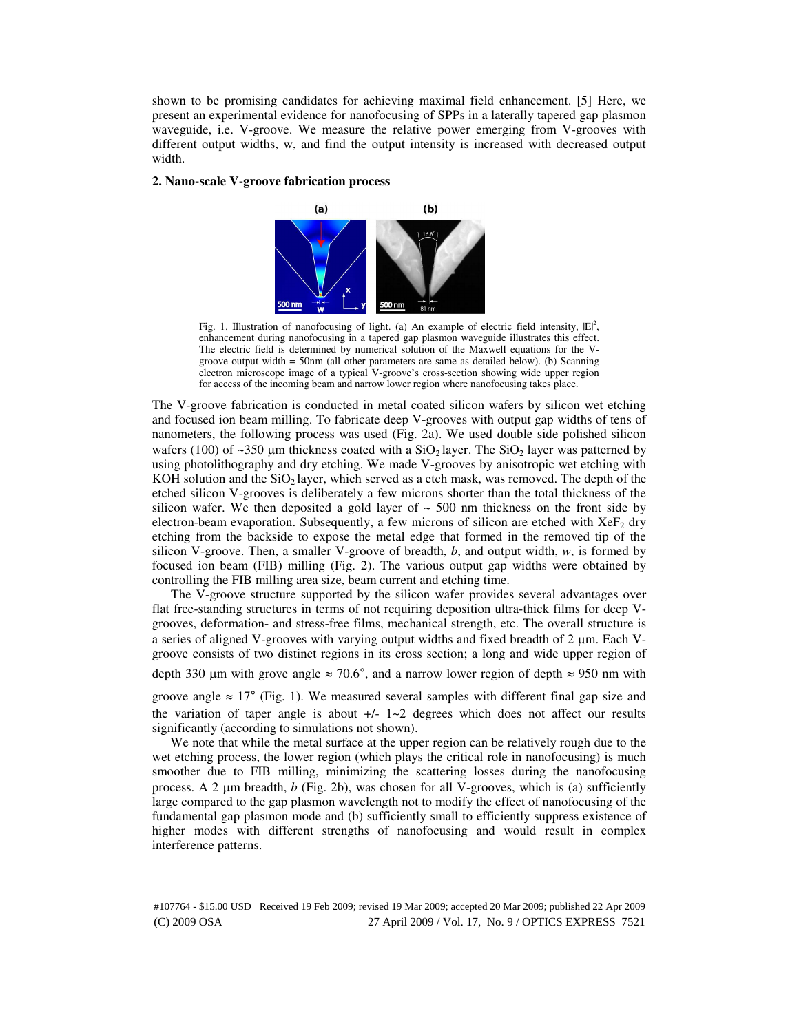shown to be promising candidates for achieving maximal field enhancement. [5] Here, we present an experimental evidence for nanofocusing of SPPs in a laterally tapered gap plasmon waveguide, i.e. V-groove. We measure the relative power emerging from V-grooves with different output widths, w, and find the output intensity is increased with decreased output width.

# **2. Nano-scale V-groove fabrication process**

significantly (according to simulations not shown).



Fig. 1. Illustration of nanofocusing of light. (a) An example of electric field intensity,  $|E|^2$ , enhancement during nanofocusing in a tapered gap plasmon waveguide illustrates this effect. The electric field is determined by numerical solution of the Maxwell equations for the Vgroove output width = 50nm (all other parameters are same as detailed below). (b) Scanning electron microscope image of a typical V-groove's cross-section showing wide upper region for access of the incoming beam and narrow lower region where nanofocusing takes place.

The V-groove fabrication is conducted in metal coated silicon wafers by silicon wet etching and focused ion beam milling. To fabricate deep V-grooves with output gap widths of tens of nanometers, the following process was used (Fig. 2a). We used double side polished silicon wafers (100) of ~350  $\mu$ m thickness coated with a SiO<sub>2</sub> layer. The SiO<sub>2</sub> layer was patterned by using photolithography and dry etching. We made V-grooves by anisotropic wet etching with KOH solution and the  $SiO<sub>2</sub>$  layer, which served as a etch mask, was removed. The depth of the etched silicon V-grooves is deliberately a few microns shorter than the total thickness of the silicon wafer. We then deposited a gold layer of  $\sim$  500 nm thickness on the front side by electron-beam evaporation. Subsequently, a few microns of silicon are etched with  $XeF_2$  dry etching from the backside to expose the metal edge that formed in the removed tip of the silicon V-groove. Then, a smaller V-groove of breadth, *b*, and output width, *w*, is formed by focused ion beam (FIB) milling (Fig. 2). The various output gap widths were obtained by controlling the FIB milling area size, beam current and etching time.

The V-groove structure supported by the silicon wafer provides several advantages over flat free-standing structures in terms of not requiring deposition ultra-thick films for deep Vgrooves, deformation- and stress-free films, mechanical strength, etc. The overall structure is a series of aligned V-grooves with varying output widths and fixed breadth of 2 µm. Each Vgroove consists of two distinct regions in its cross section; a long and wide upper region of depth 330 µm with grove angle  $\approx 70.6^{\circ}$ , and a narrow lower region of depth  $\approx 950$  nm with groove angle  $\approx 17^{\circ}$  (Fig. 1). We measured several samples with different final gap size and the variation of taper angle is about  $+/-1-2$  degrees which does not affect our results

We note that while the metal surface at the upper region can be relatively rough due to the wet etching process, the lower region (which plays the critical role in nanofocusing) is much smoother due to FIB milling, minimizing the scattering losses during the nanofocusing process. A 2 µm breadth, *b* (Fig. 2b), was chosen for all V-grooves, which is (a) sufficiently large compared to the gap plasmon wavelength not to modify the effect of nanofocusing of the fundamental gap plasmon mode and (b) sufficiently small to efficiently suppress existence of higher modes with different strengths of nanofocusing and would result in complex interference patterns.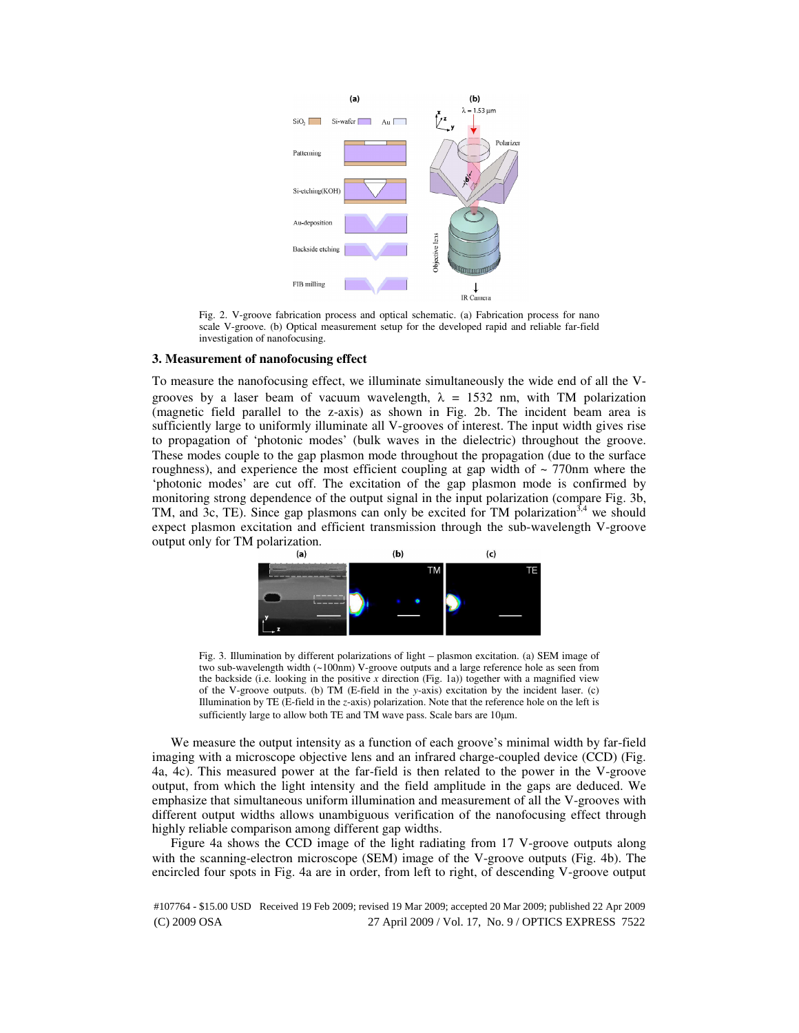

Fig. 2. V-groove fabrication process and optical schematic. (a) Fabrication process for nano scale V-groove. (b) Optical measurement setup for the developed rapid and reliable far-field investigation of nanofocusing.

# **3. Measurement of nanofocusing effect**

To measure the nanofocusing effect, we illuminate simultaneously the wide end of all the Vgrooves by a laser beam of vacuum wavelength,  $\lambda = 1532$  nm, with TM polarization (magnetic field parallel to the z-axis) as shown in Fig. 2b. The incident beam area is sufficiently large to uniformly illuminate all V-grooves of interest. The input width gives rise to propagation of 'photonic modes' (bulk waves in the dielectric) throughout the groove. These modes couple to the gap plasmon mode throughout the propagation (due to the surface roughness), and experience the most efficient coupling at gap width of  $\sim$  770nm where the 'photonic modes' are cut off. The excitation of the gap plasmon mode is confirmed by monitoring strong dependence of the output signal in the input polarization (compare Fig. 3b, TM, and 3c, TE). Since gap plasmons can only be excited for TM polarization<sup>3,4</sup> we should expect plasmon excitation and efficient transmission through the sub-wavelength V-groove output only for TM polarization.<br>(a)



Fig. 3. Illumination by different polarizations of light – plasmon excitation. (a) SEM image of two sub-wavelength width (~100nm) V-groove outputs and a large reference hole as seen from the backside (i.e. looking in the positive  $x$  direction (Fig. 1a)) together with a magnified view of the V-groove outputs. (b) TM (E-field in the *y*-axis) excitation by the incident laser. (c) Illumination by TE (E-field in the *z*-axis) polarization. Note that the reference hole on the left is sufficiently large to allow both TE and TM wave pass. Scale bars are 10µm.

We measure the output intensity as a function of each groove's minimal width by far-field imaging with a microscope objective lens and an infrared charge-coupled device (CCD) (Fig. 4a, 4c). This measured power at the far-field is then related to the power in the V-groove output, from which the light intensity and the field amplitude in the gaps are deduced. We emphasize that simultaneous uniform illumination and measurement of all the V-grooves with different output widths allows unambiguous verification of the nanofocusing effect through highly reliable comparison among different gap widths.

Figure 4a shows the CCD image of the light radiating from 17 V-groove outputs along with the scanning-electron microscope (SEM) image of the V-groove outputs (Fig. 4b). The encircled four spots in Fig. 4a are in order, from left to right, of descending V-groove output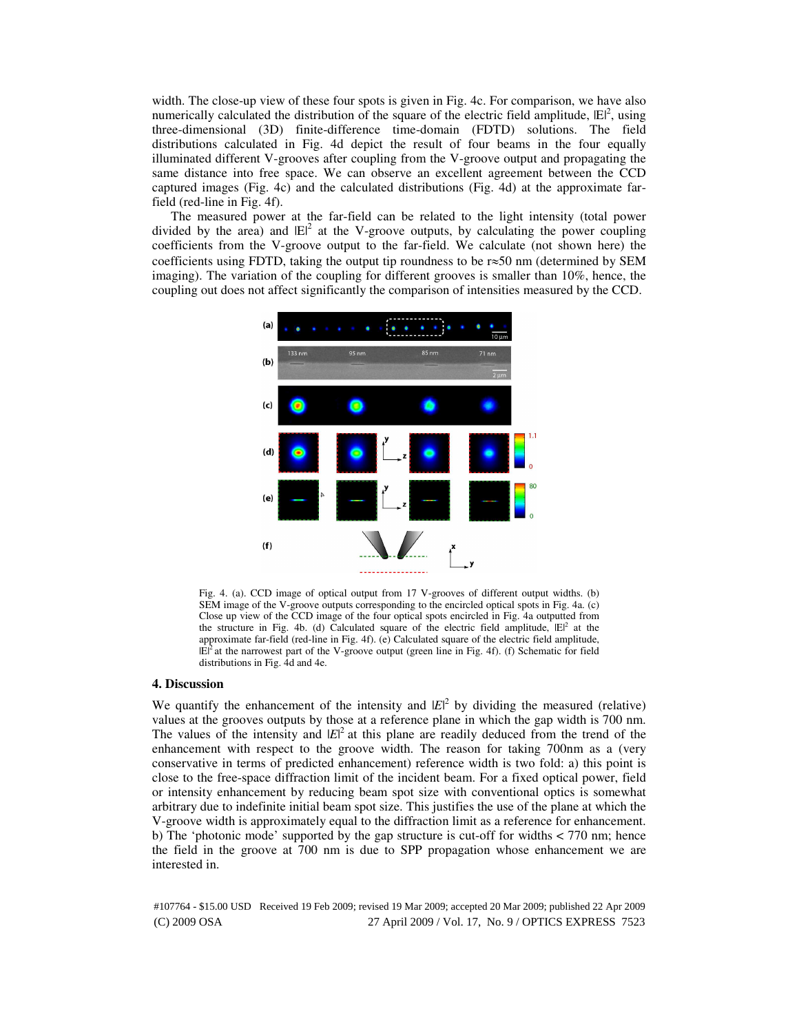width. The close-up view of these four spots is given in Fig. 4c. For comparison, we have also numerically calculated the distribution of the square of the electric field amplitude,  $|E|^2$ , using three-dimensional (3D) finite-difference time-domain (FDTD) solutions. The field distributions calculated in Fig. 4d depict the result of four beams in the four equally illuminated different V-grooves after coupling from the V-groove output and propagating the same distance into free space. We can observe an excellent agreement between the CCD captured images (Fig. 4c) and the calculated distributions (Fig. 4d) at the approximate farfield (red-line in Fig. 4f).

The measured power at the far-field can be related to the light intensity (total power divided by the area) and  $|E|^2$  at the V-groove outputs, by calculating the power coupling coefficients from the V-groove output to the far-field. We calculate (not shown here) the coefficients using FDTD, taking the output tip roundness to be  $r \approx 50$  nm (determined by SEM imaging). The variation of the coupling for different grooves is smaller than 10%, hence, the coupling out does not affect significantly the comparison of intensities measured by the CCD.



Fig. 4. (a). CCD image of optical output from 17 V-grooves of different output widths. (b) SEM image of the V-groove outputs corresponding to the encircled optical spots in Fig. 4a. (c) Close up view of the CCD image of the four optical spots encircled in Fig. 4a outputted from the structure in Fig. 4b. (d) Calculated square of the electric field amplitude,  $|E|^2$  at the approximate far-field (red-line in Fig. 4f). (e) Calculated square of the electric field amplitude,  $|E|^2$  at the narrowest part of the V-groove output (green line in Fig. 4f). (f) Schematic for field distributions in Fig. 4d and 4e.

#### **4. Discussion**

We quantify the enhancement of the intensity and  $|E|^2$  by dividing the measured (relative) values at the grooves outputs by those at a reference plane in which the gap width is 700 nm. The values of the intensity and  $|E|^2$  at this plane are readily deduced from the trend of the enhancement with respect to the groove width. The reason for taking 700nm as a (very conservative in terms of predicted enhancement) reference width is two fold: a) this point is close to the free-space diffraction limit of the incident beam. For a fixed optical power, field or intensity enhancement by reducing beam spot size with conventional optics is somewhat arbitrary due to indefinite initial beam spot size. This justifies the use of the plane at which the V-groove width is approximately equal to the diffraction limit as a reference for enhancement. b) The 'photonic mode' supported by the gap structure is cut-off for widths < 770 nm; hence the field in the groove at 700 nm is due to SPP propagation whose enhancement we are interested in.